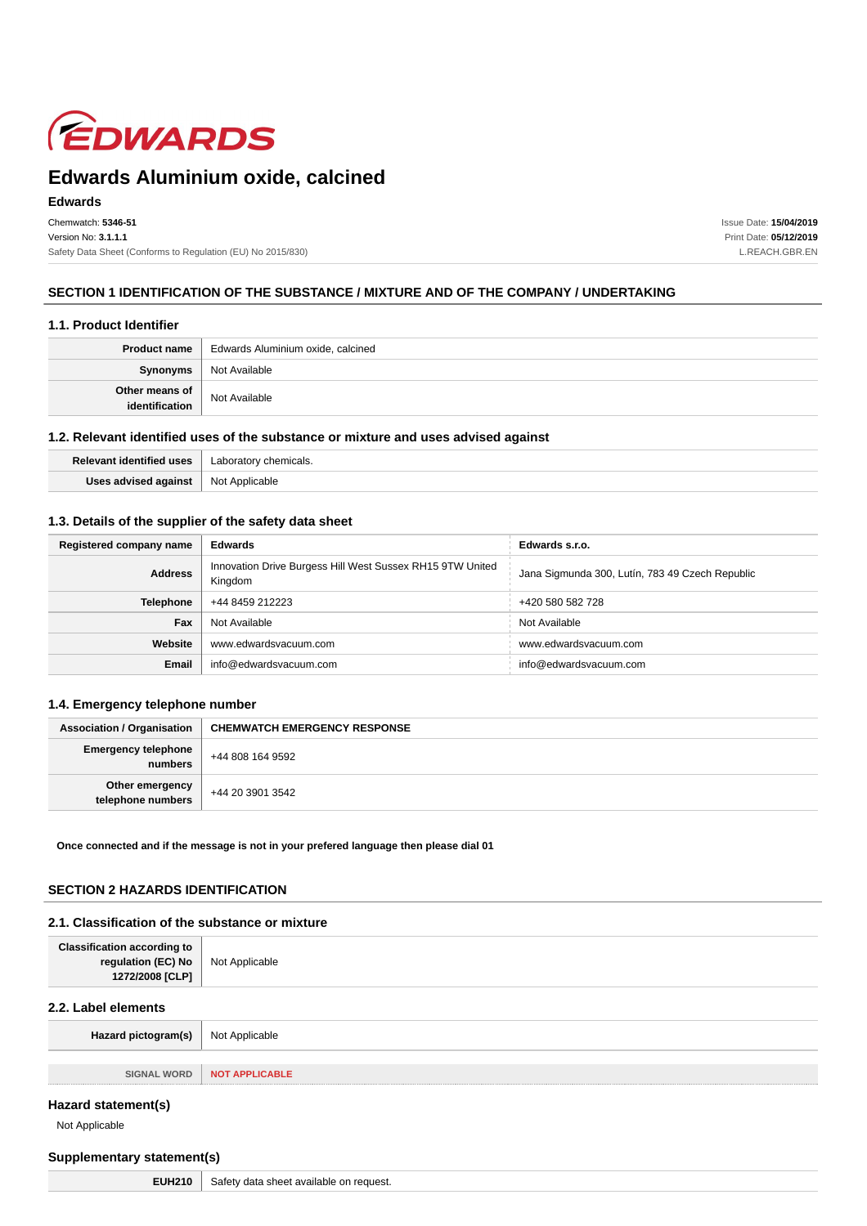

#### **Edwards**

Chemwatch: **5346-51** Version No: **3.1.1.1** Safety Data Sheet (Conforms to Regulation (EU) No 2015/830) Issue Date: **15/04/2019** Print Date: **05/12/2019** L.REACH.GBR.EN

### **SECTION 1 IDENTIFICATION OF THE SUBSTANCE / MIXTURE AND OF THE COMPANY / UNDERTAKING**

#### **1.1. Product Identifier**

|                                  | <b>Product name</b>   Edwards Aluminium oxide, calcined |
|----------------------------------|---------------------------------------------------------|
| Synonyms                         | Not Available                                           |
| Other means of<br>identification | Not Available                                           |

#### **1.2. Relevant identified uses of the substance or mixture and uses advised against**

| ntified uses<br>Polovant | icals.         |
|--------------------------|----------------|
| llege ar<br>uaca         | Not Applicable |

# **1.3. Details of the supplier of the safety data sheet**

| Registered company name | <b>Edwards</b>                                                       | Edwards s.r.o.                                  |
|-------------------------|----------------------------------------------------------------------|-------------------------------------------------|
| <b>Address</b>          | Innovation Drive Burgess Hill West Sussex RH15 9TW United<br>Kingdom | Jana Sigmunda 300, Lutín, 783 49 Czech Republic |
| <b>Telephone</b>        | +44 8459 212223                                                      | +420 580 582 728                                |
| Fax                     | Not Available                                                        | Not Available                                   |
| Website                 | www.edwardsvacuum.com                                                | www.edwardsvacuum.com                           |
| <b>Email</b>            | info@edwardsvacuum.com                                               | info@edwardsvacuum.com                          |

#### **1.4. Emergency telephone number**

| <b>Association / Organisation</b>    | <b>CHEMWATCH EMERGENCY RESPONSE</b> |
|--------------------------------------|-------------------------------------|
| Emergency telephone<br>  numbers     | +44 808 164 9592                    |
| Other emergency<br>telephone numbers | +44 20 3901 3542                    |

**Once connected and if the message is not in your prefered language then please dial 01**

# **SECTION 2 HAZARDS IDENTIFICATION**

#### **2.1. Classification of the substance or mixture**

| <b>Classification according to</b><br>regulation (EC) No<br>1272/2008 [CLP] | Not Applicable        |
|-----------------------------------------------------------------------------|-----------------------|
| 2.2. Label elements                                                         |                       |
| Hazard pictogram(s)                                                         | Not Applicable        |
|                                                                             |                       |
| <b>SIGNAL WORD</b>                                                          | <b>NOT APPLICABLE</b> |
|                                                                             |                       |

# **Hazard statement(s)**

Not Applicable

# **Supplementary statement(s)**

|  | <b>EUH210</b>   Safety data shee |
|--|----------------------------------|
|--|----------------------------------|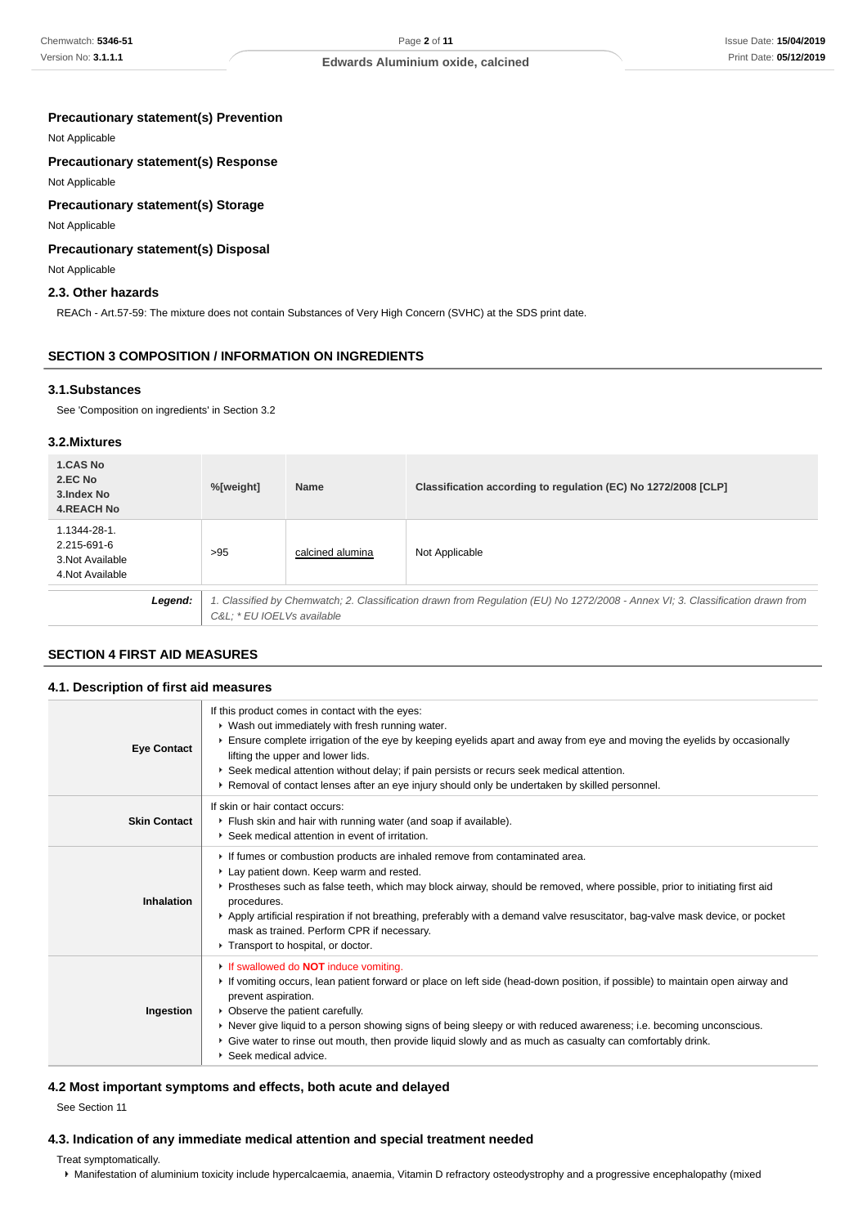#### **Precautionary statement(s) Prevention**

Not Applicable

# **Precautionary statement(s) Response**

Not Applicable

# **Precautionary statement(s) Storage**

Not Applicable

### **Precautionary statement(s) Disposal**

Not Applicable

### **2.3. Other hazards**

REACh - Art.57-59: The mixture does not contain Substances of Very High Concern (SVHC) at the SDS print date.

### **SECTION 3 COMPOSITION / INFORMATION ON INGREDIENTS**

### **3.1.Substances**

See 'Composition on ingredients' in Section 3.2

### **3.2.Mixtures**

| 1.CAS No<br>2.EC No<br>3. Index No<br><b>4.REACH No</b>             |         | %[weight]                                                                                                                                                   | <b>Name</b>      | Classification according to regulation (EC) No 1272/2008 [CLP] |
|---------------------------------------------------------------------|---------|-------------------------------------------------------------------------------------------------------------------------------------------------------------|------------------|----------------------------------------------------------------|
| 1.1344-28-1.<br>2.215-691-6<br>3. Not Available<br>4. Not Available |         | >95                                                                                                                                                         | calcined alumina | Not Applicable                                                 |
|                                                                     | Legend: | 1. Classified by Chemwatch; 2. Classification drawn from Regulation (EU) No 1272/2008 - Annex VI; 3. Classification drawn from<br>C&L * EU IOELVs available |                  |                                                                |

### **SECTION 4 FIRST AID MEASURES**

# **4.1. Description of first aid measures** If this product comes in contact with the eyes:

| <b>Eye Contact</b>  | • Wash out immediately with fresh running water.<br>Ensure complete irrigation of the eye by keeping eyelids apart and away from eye and moving the eyelids by occasionally<br>lifting the upper and lower lids.<br>▶ Seek medical attention without delay; if pain persists or recurs seek medical attention.<br>▶ Removal of contact lenses after an eye injury should only be undertaken by skilled personnel.                                                                                     |
|---------------------|-------------------------------------------------------------------------------------------------------------------------------------------------------------------------------------------------------------------------------------------------------------------------------------------------------------------------------------------------------------------------------------------------------------------------------------------------------------------------------------------------------|
| <b>Skin Contact</b> | If skin or hair contact occurs:<br>Flush skin and hair with running water (and soap if available).<br>▶ Seek medical attention in event of irritation.                                                                                                                                                                                                                                                                                                                                                |
| <b>Inhalation</b>   | If fumes or combustion products are inhaled remove from contaminated area.<br>Lay patient down. Keep warm and rested.<br>▶ Prostheses such as false teeth, which may block airway, should be removed, where possible, prior to initiating first aid<br>procedures.<br>Apply artificial respiration if not breathing, preferably with a demand valve resuscitator, bag-valve mask device, or pocket<br>mask as trained. Perform CPR if necessary.<br>Transport to hospital, or doctor.                 |
| Ingestion           | If swallowed do <b>NOT</b> induce vomiting.<br>If vomiting occurs, lean patient forward or place on left side (head-down position, if possible) to maintain open airway and<br>prevent aspiration.<br>• Observe the patient carefully.<br>▶ Never give liquid to a person showing signs of being sleepy or with reduced awareness; i.e. becoming unconscious.<br>► Give water to rinse out mouth, then provide liquid slowly and as much as casualty can comfortably drink.<br>▶ Seek medical advice. |

#### **4.2 Most important symptoms and effects, both acute and delayed**

See Section 11

### **4.3. Indication of any immediate medical attention and special treatment needed**

Treat symptomatically.

Manifestation of aluminium toxicity include hypercalcaemia, anaemia, Vitamin D refractory osteodystrophy and a progressive encephalopathy (mixed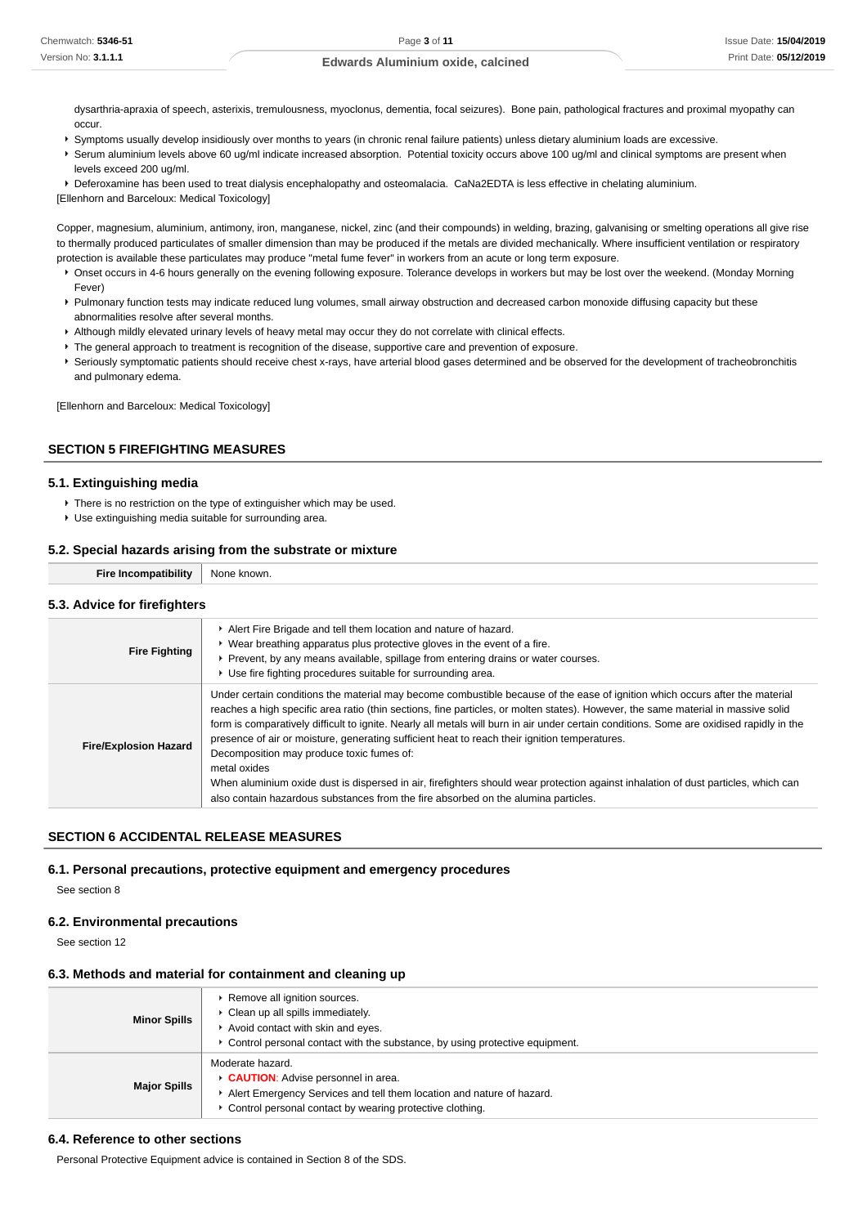dysarthria-apraxia of speech, asterixis, tremulousness, myoclonus, dementia, focal seizures). Bone pain, pathological fractures and proximal myopathy can occur.

- Symptoms usually develop insidiously over months to years (in chronic renal failure patients) unless dietary aluminium loads are excessive.
- ▶ Serum aluminium levels above 60 ug/ml indicate increased absorption. Potential toxicity occurs above 100 ug/ml and clinical symptoms are present when levels exceed 200 ug/ml.

Deferoxamine has been used to treat dialysis encephalopathy and osteomalacia. CaNa2EDTA is less effective in chelating aluminium.

[Ellenhorn and Barceloux: Medical Toxicology]

Copper, magnesium, aluminium, antimony, iron, manganese, nickel, zinc (and their compounds) in welding, brazing, galvanising or smelting operations all give rise to thermally produced particulates of smaller dimension than may be produced if the metals are divided mechanically. Where insufficient ventilation or respiratory protection is available these particulates may produce "metal fume fever" in workers from an acute or long term exposure.

- **P** Onset occurs in 4-6 hours generally on the evening following exposure. Tolerance develops in workers but may be lost over the weekend. (Monday Morning Fever)
- ▶ Pulmonary function tests may indicate reduced lung volumes, small airway obstruction and decreased carbon monoxide diffusing capacity but these abnormalities resolve after several months.
- Although mildly elevated urinary levels of heavy metal may occur they do not correlate with clinical effects.
- The general approach to treatment is recognition of the disease, supportive care and prevention of exposure.
- Seriously symptomatic patients should receive chest x-rays, have arterial blood gases determined and be observed for the development of tracheobronchitis and pulmonary edema.

[Ellenhorn and Barceloux: Medical Toxicology]

### **SECTION 5 FIREFIGHTING MEASURES**

#### **5.1. Extinguishing media**

- ▶ There is no restriction on the type of extinguisher which may be used.
- Use extinguishing media suitable for surrounding area.

#### **5.2. Special hazards arising from the substrate or mixture**

| <b>Fire Incompatibility</b>  | None known.                                                                                                                                                                                                                         |  |
|------------------------------|-------------------------------------------------------------------------------------------------------------------------------------------------------------------------------------------------------------------------------------|--|
| 5.3. Advice for firefighters |                                                                                                                                                                                                                                     |  |
| <b>Fire Fighting</b>         | Alert Fire Brigade and tell them location and nature of hazard.<br>▶ Wear breathing apparatus plus protective gloves in the event of a fire.<br>t. Darijant bij enij nezen eratleble, entllene farm entruise darben en insteamenter |  |

|                              | ► Prevent, by any means available, spillage from entering drains or water courses.<br>▶ Use fire fighting procedures suitable for surrounding area.                                                                                                                                                                                                                                                                                                                                                                                                                                                                                                                                                                                                                                                     |
|------------------------------|---------------------------------------------------------------------------------------------------------------------------------------------------------------------------------------------------------------------------------------------------------------------------------------------------------------------------------------------------------------------------------------------------------------------------------------------------------------------------------------------------------------------------------------------------------------------------------------------------------------------------------------------------------------------------------------------------------------------------------------------------------------------------------------------------------|
| <b>Fire/Explosion Hazard</b> | Under certain conditions the material may become combustible because of the ease of ignition which occurs after the material<br>reaches a high specific area ratio (thin sections, fine particles, or molten states). However, the same material in massive solid<br>form is comparatively difficult to ignite. Nearly all metals will burn in air under certain conditions. Some are oxidised rapidly in the<br>presence of air or moisture, generating sufficient heat to reach their ignition temperatures.<br>Decomposition may produce toxic fumes of:<br>metal oxides<br>When aluminium oxide dust is dispersed in air, firefighters should wear protection against inhalation of dust particles, which can<br>also contain hazardous substances from the fire absorbed on the alumina particles. |

# **SECTION 6 ACCIDENTAL RELEASE MEASURES**

#### **6.1. Personal precautions, protective equipment and emergency procedures**

See section 8

### **6.2. Environmental precautions**

See section 12

#### **6.3. Methods and material for containment and cleaning up**

| <b>Minor Spills</b> | ▶ Remove all ignition sources.<br>• Clean up all spills immediately.<br>Avoid contact with skin and eyes.<br>► Control personal contact with the substance, by using protective equipment.    |
|---------------------|-----------------------------------------------------------------------------------------------------------------------------------------------------------------------------------------------|
| <b>Major Spills</b> | Moderate hazard.<br>CAUTION: Advise personnel in area.<br>Alert Emergency Services and tell them location and nature of hazard.<br>• Control personal contact by wearing protective clothing. |

### **6.4. Reference to other sections**

Personal Protective Equipment advice is contained in Section 8 of the SDS.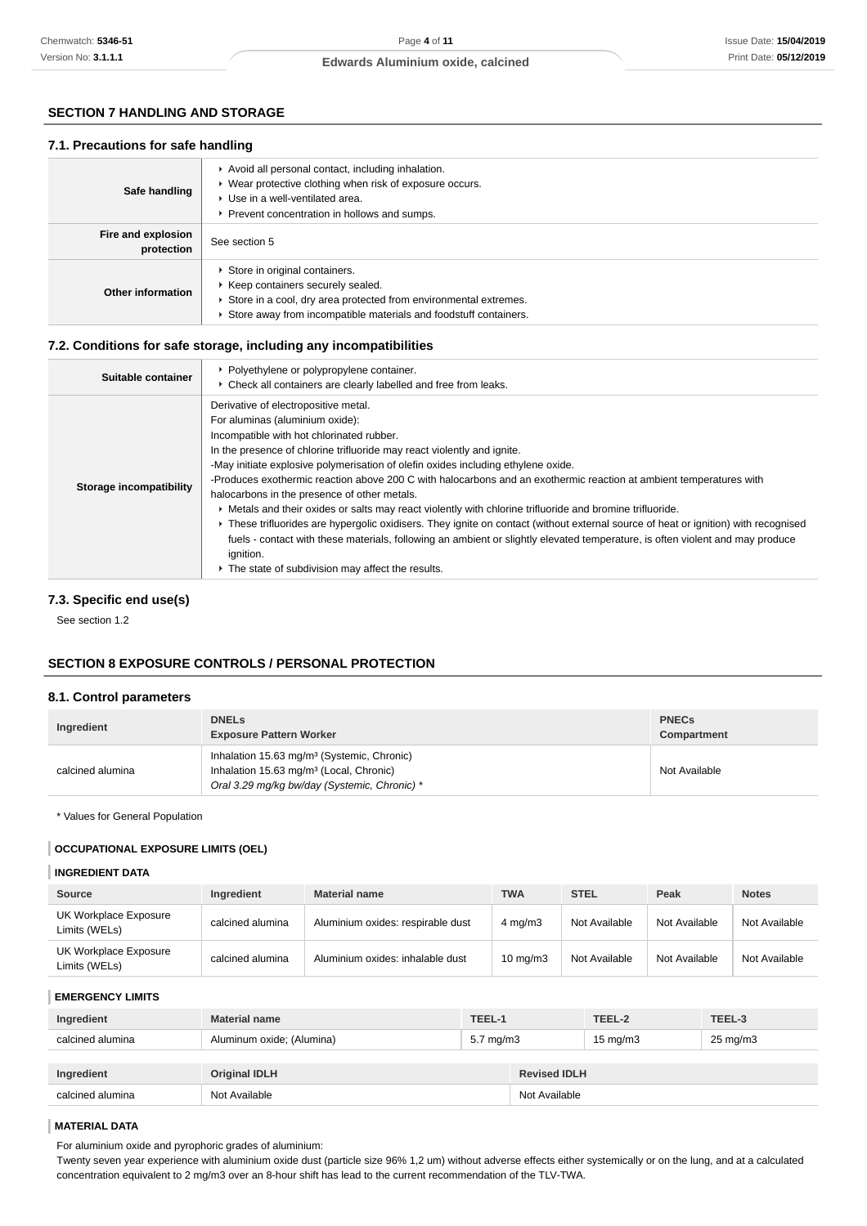# **SECTION 7 HANDLING AND STORAGE**

#### **7.1. Precautions for safe handling**

| Safe handling                    | Avoid all personal contact, including inhalation.<br>▶ Wear protective clothing when risk of exposure occurs.<br>▶ Use in a well-ventilated area.<br>▶ Prevent concentration in hollows and sumps.          |
|----------------------------------|-------------------------------------------------------------------------------------------------------------------------------------------------------------------------------------------------------------|
| Fire and explosion<br>protection | See section 5                                                                                                                                                                                               |
| Other information                | Store in original containers.<br>▶ Keep containers securely sealed.<br>Store in a cool, dry area protected from environmental extremes.<br>Store away from incompatible materials and foodstuff containers. |

### **7.2. Conditions for safe storage, including any incompatibilities**

| Suitable container      | • Polyethylene or polypropylene container.<br>• Check all containers are clearly labelled and free from leaks.                                                                                                                                                                                                                                                                                                                                                                                                                                                                                                                                                                                                                                                                                                                                                                                                     |
|-------------------------|--------------------------------------------------------------------------------------------------------------------------------------------------------------------------------------------------------------------------------------------------------------------------------------------------------------------------------------------------------------------------------------------------------------------------------------------------------------------------------------------------------------------------------------------------------------------------------------------------------------------------------------------------------------------------------------------------------------------------------------------------------------------------------------------------------------------------------------------------------------------------------------------------------------------|
| Storage incompatibility | Derivative of electropositive metal.<br>For aluminas (aluminium oxide):<br>Incompatible with hot chlorinated rubber.<br>In the presence of chlorine trifluoride may react violently and ignite.<br>-May initiate explosive polymerisation of olefin oxides including ethylene oxide.<br>-Produces exothermic reaction above 200 C with halocarbons and an exothermic reaction at ambient temperatures with<br>halocarbons in the presence of other metals.<br>• Metals and their oxides or salts may react violently with chlorine trifluoride and bromine trifluoride.<br>▶ These trifluorides are hypergolic oxidisers. They ignite on contact (without external source of heat or ignition) with recognised<br>fuels - contact with these materials, following an ambient or slightly elevated temperature, is often violent and may produce<br>ignition.<br>• The state of subdivision may affect the results. |

# **7.3. Specific end use(s)**

See section 1.2

# **SECTION 8 EXPOSURE CONTROLS / PERSONAL PROTECTION**

# **8.1. Control parameters**

| Ingredient       | <b>DNELS</b><br><b>Exposure Pattern Worker</b>                                                                                                                | <b>PNECs</b><br>Compartment |
|------------------|---------------------------------------------------------------------------------------------------------------------------------------------------------------|-----------------------------|
| calcined alumina | Inhalation 15.63 mg/m <sup>3</sup> (Systemic, Chronic)<br>Inhalation 15.63 mg/m <sup>3</sup> (Local, Chronic)<br>Oral 3.29 mg/kg bw/day (Systemic, Chronic) * | Not Available               |

\* Values for General Population

#### **OCCUPATIONAL EXPOSURE LIMITS (OEL)**

#### **INGREDIENT DATA**

| Source                                 | Ingredient       | <b>Material name</b>              | <b>TWA</b>         | <b>STEL</b>   | Peak          | <b>Notes</b>  |
|----------------------------------------|------------------|-----------------------------------|--------------------|---------------|---------------|---------------|
| UK Workplace Exposure<br>Limits (WELs) | calcined alumina | Aluminium oxides: respirable dust | $4 \text{ mg/m}$ 3 | Not Available | Not Available | Not Available |
| UK Workplace Exposure<br>Limits (WELs) | calcined alumina | Aluminium oxides: inhalable dust  | $10 \text{ mg/m}$  | Not Available | Not Available | Not Available |

#### **EMERGENCY LIMITS**

| Ingredient       | <b>Material name</b>      | TEEL-1       |                     | TEEL-2            | TEEL-3              |
|------------------|---------------------------|--------------|---------------------|-------------------|---------------------|
| calcined alumina | Aluminum oxide; (Alumina) | 5.7 mg/m $3$ |                     | $15 \text{ mg/m}$ | $25 \text{ mg/m}$ 3 |
|                  |                           |              |                     |                   |                     |
| Ingredient       | <b>Original IDLH</b>      |              | <b>Revised IDLH</b> |                   |                     |
| calcined alumina | Not Available             |              | Not Available       |                   |                     |

# **MATERIAL DATA**

For aluminium oxide and pyrophoric grades of aluminium:

Twenty seven year experience with aluminium oxide dust (particle size 96% 1,2 um) without adverse effects either systemically or on the lung, and at a calculated concentration equivalent to 2 mg/m3 over an 8-hour shift has lead to the current recommendation of the TLV-TWA.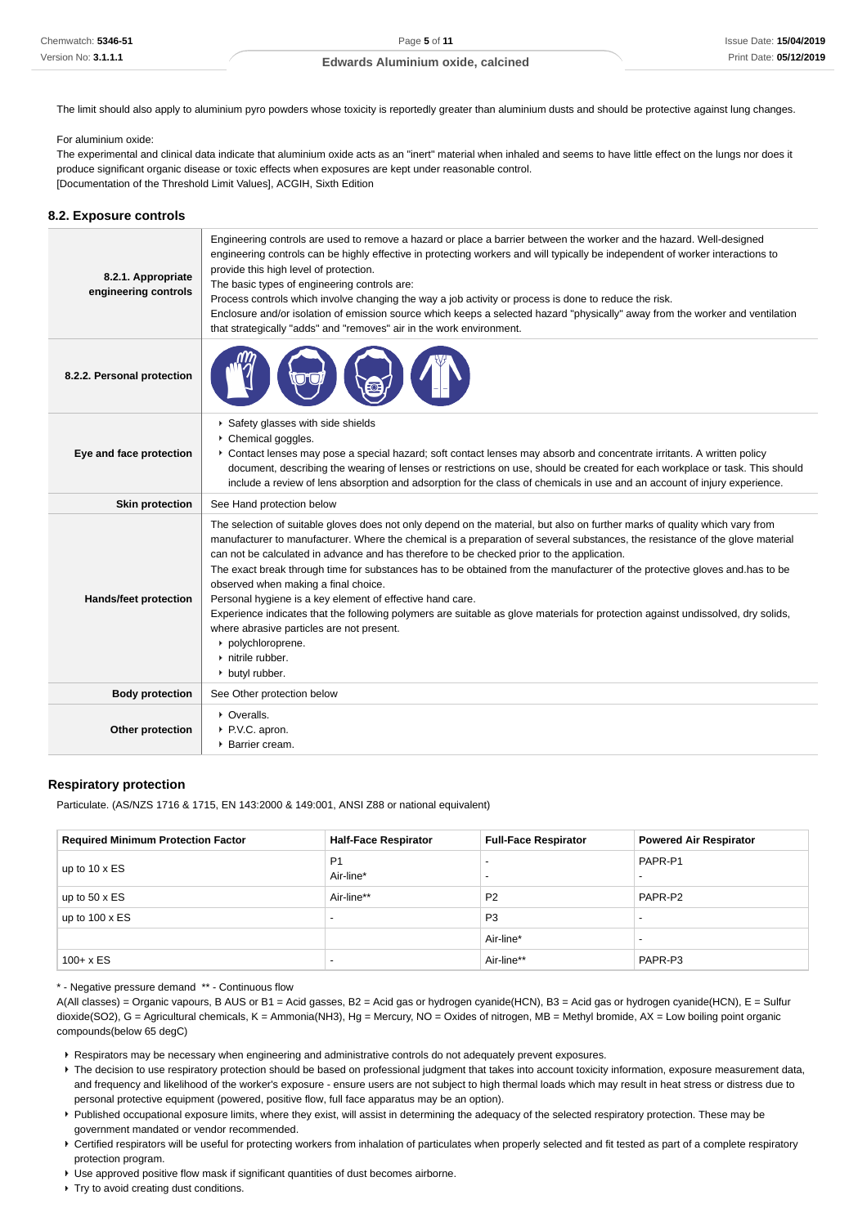The limit should also apply to aluminium pyro powders whose toxicity is reportedly greater than aluminium dusts and should be protective against lung changes.

#### For aluminium oxide:

The experimental and clinical data indicate that aluminium oxide acts as an "inert" material when inhaled and seems to have little effect on the lungs nor does it produce significant organic disease or toxic effects when exposures are kept under reasonable control. [Documentation of the Threshold Limit Values], ACGIH, Sixth Edition

#### **8.2. Exposure controls**

| 8.2.1. Appropriate<br>engineering controls | Engineering controls are used to remove a hazard or place a barrier between the worker and the hazard. Well-designed<br>engineering controls can be highly effective in protecting workers and will typically be independent of worker interactions to<br>provide this high level of protection.<br>The basic types of engineering controls are:<br>Process controls which involve changing the way a job activity or process is done to reduce the risk.<br>Enclosure and/or isolation of emission source which keeps a selected hazard "physically" away from the worker and ventilation<br>that strategically "adds" and "removes" air in the work environment.                                                                                                                                                                      |
|--------------------------------------------|-----------------------------------------------------------------------------------------------------------------------------------------------------------------------------------------------------------------------------------------------------------------------------------------------------------------------------------------------------------------------------------------------------------------------------------------------------------------------------------------------------------------------------------------------------------------------------------------------------------------------------------------------------------------------------------------------------------------------------------------------------------------------------------------------------------------------------------------|
| 8.2.2. Personal protection                 |                                                                                                                                                                                                                                                                                                                                                                                                                                                                                                                                                                                                                                                                                                                                                                                                                                         |
| Eye and face protection                    | Safety glasses with side shields<br>Chemical goggles.<br>Contact lenses may pose a special hazard; soft contact lenses may absorb and concentrate irritants. A written policy<br>document, describing the wearing of lenses or restrictions on use, should be created for each workplace or task. This should<br>include a review of lens absorption and adsorption for the class of chemicals in use and an account of injury experience.                                                                                                                                                                                                                                                                                                                                                                                              |
| <b>Skin protection</b>                     | See Hand protection below                                                                                                                                                                                                                                                                                                                                                                                                                                                                                                                                                                                                                                                                                                                                                                                                               |
| Hands/feet protection                      | The selection of suitable gloves does not only depend on the material, but also on further marks of quality which vary from<br>manufacturer to manufacturer. Where the chemical is a preparation of several substances, the resistance of the glove material<br>can not be calculated in advance and has therefore to be checked prior to the application.<br>The exact break through time for substances has to be obtained from the manufacturer of the protective gloves and has to be<br>observed when making a final choice.<br>Personal hygiene is a key element of effective hand care.<br>Experience indicates that the following polymers are suitable as glove materials for protection against undissolved, dry solids,<br>where abrasive particles are not present.<br>polychloroprene.<br>nitrile rubber.<br>butyl rubber. |
| <b>Body protection</b>                     | See Other protection below                                                                                                                                                                                                                                                                                                                                                                                                                                                                                                                                                                                                                                                                                                                                                                                                              |
| Other protection                           | • Overalls.<br>P.V.C. apron.<br>▶ Barrier cream.                                                                                                                                                                                                                                                                                                                                                                                                                                                                                                                                                                                                                                                                                                                                                                                        |

#### **Respiratory protection**

Particulate. (AS/NZS 1716 & 1715, EN 143:2000 & 149:001, ANSI Z88 or national equivalent)

| <b>Required Minimum Protection Factor</b> | <b>Half-Face Respirator</b> | <b>Full-Face Respirator</b>                          | <b>Powered Air Respirator</b> |
|-------------------------------------------|-----------------------------|------------------------------------------------------|-------------------------------|
| up to $10 \times ES$                      | P <sub>1</sub><br>Air-line* | $\overline{\phantom{0}}$<br>$\overline{\phantom{0}}$ | PAPR-P1                       |
| up to $50 \times ES$                      | Air-line**                  | P <sub>2</sub>                                       | PAPR-P2                       |
| up to $100 \times ES$                     | $\overline{\phantom{0}}$    | P <sub>3</sub>                                       |                               |
|                                           |                             | Air-line*                                            |                               |
| $100 + x ES$                              | $\overline{\phantom{0}}$    | Air-line**                                           | PAPR-P3                       |

\* - Negative pressure demand \*\* - Continuous flow

A(All classes) = Organic vapours, B AUS or B1 = Acid gasses, B2 = Acid gas or hydrogen cyanide(HCN), B3 = Acid gas or hydrogen cyanide(HCN), E = Sulfur dioxide(SO2), G = Agricultural chemicals, K = Ammonia(NH3), Hg = Mercury, NO = Oxides of nitrogen, MB = Methyl bromide, AX = Low boiling point organic compounds(below 65 degC)

Respirators may be necessary when engineering and administrative controls do not adequately prevent exposures.

- Fine decision to use respiratory protection should be based on professional judgment that takes into account toxicity information, exposure measurement data, and frequency and likelihood of the worker's exposure - ensure users are not subject to high thermal loads which may result in heat stress or distress due to personal protective equipment (powered, positive flow, full face apparatus may be an option).
- Published occupational exposure limits, where they exist, will assist in determining the adequacy of the selected respiratory protection. These may be government mandated or vendor recommended.
- ▶ Certified respirators will be useful for protecting workers from inhalation of particulates when properly selected and fit tested as part of a complete respiratory protection program.
- Use approved positive flow mask if significant quantities of dust becomes airborne.
- ▶ Try to avoid creating dust conditions.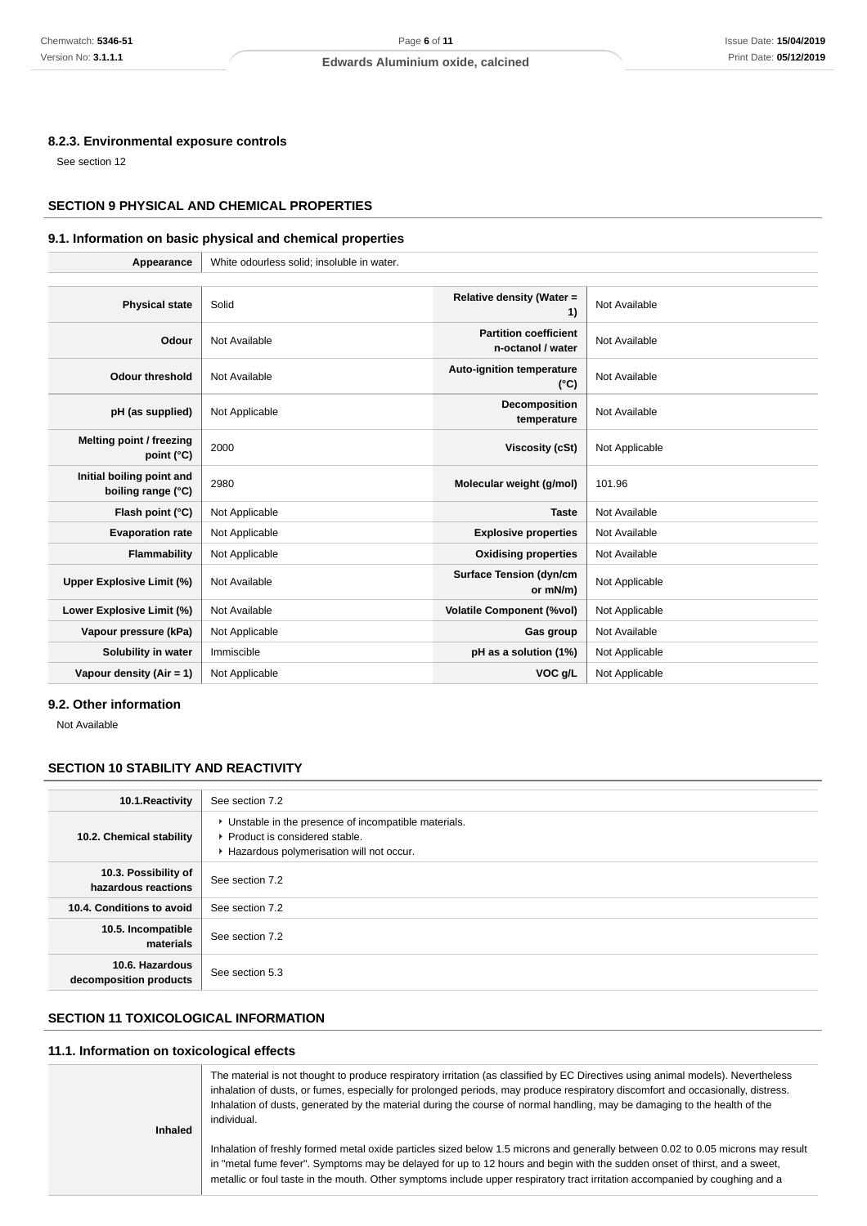#### **8.2.3. Environmental exposure controls**

See section 12

# **SECTION 9 PHYSICAL AND CHEMICAL PROPERTIES**

# **9.1. Information on basic physical and chemical properties**

| Appearance                                      | White odourless solid; insoluble in water. |                                                   |                |
|-------------------------------------------------|--------------------------------------------|---------------------------------------------------|----------------|
|                                                 |                                            |                                                   |                |
| <b>Physical state</b>                           | Solid                                      | Relative density (Water =<br>1)                   | Not Available  |
| Odour                                           | Not Available                              | <b>Partition coefficient</b><br>n-octanol / water | Not Available  |
| <b>Odour threshold</b>                          | Not Available                              | Auto-ignition temperature<br>$(^{\circ}C)$        | Not Available  |
| pH (as supplied)                                | Not Applicable                             | Decomposition<br>temperature                      | Not Available  |
| Melting point / freezing<br>point $(^{\circ}C)$ | 2000                                       | <b>Viscosity (cSt)</b>                            | Not Applicable |
| Initial boiling point and<br>boiling range (°C) | 2980                                       | Molecular weight (g/mol)                          | 101.96         |
| Flash point (°C)                                | Not Applicable                             | <b>Taste</b>                                      | Not Available  |
| <b>Evaporation rate</b>                         | Not Applicable                             | <b>Explosive properties</b>                       | Not Available  |
| Flammability                                    | Not Applicable                             | <b>Oxidising properties</b>                       | Not Available  |
| Upper Explosive Limit (%)                       | Not Available                              | <b>Surface Tension (dyn/cm</b><br>or mN/m)        | Not Applicable |
| Lower Explosive Limit (%)                       | Not Available                              | <b>Volatile Component (%vol)</b>                  | Not Applicable |
| Vapour pressure (kPa)                           | Not Applicable                             | Gas group                                         | Not Available  |
| Solubility in water                             | Immiscible                                 | pH as a solution (1%)                             | Not Applicable |
| Vapour density $(Air = 1)$                      | Not Applicable                             | VOC g/L                                           | Not Applicable |

### **9.2. Other information**

Not Available

#### **SECTION 10 STABILITY AND REACTIVITY**

| 10.1. Reactivity                            | See section 7.2                                                                                                                      |
|---------------------------------------------|--------------------------------------------------------------------------------------------------------------------------------------|
| 10.2. Chemical stability                    | • Unstable in the presence of incompatible materials.<br>▶ Product is considered stable.<br>Hazardous polymerisation will not occur. |
| 10.3. Possibility of<br>hazardous reactions | See section 7.2                                                                                                                      |
| 10.4. Conditions to avoid                   | See section 7.2                                                                                                                      |
| 10.5. Incompatible<br>materials             | See section 7.2                                                                                                                      |
| 10.6. Hazardous<br>decomposition products   | See section 5.3                                                                                                                      |

# **SECTION 11 TOXICOLOGICAL INFORMATION**

# **11.1. Information on toxicological effects**

| <b>Inhaled</b> | The material is not thought to produce respiratory irritation (as classified by EC Directives using animal models). Nevertheless<br>inhalation of dusts, or fumes, especially for prolonged periods, may produce respiratory discomfort and occasionally, distress.<br>Inhalation of dusts, generated by the material during the course of normal handling, may be damaging to the health of the<br>individual. |
|----------------|-----------------------------------------------------------------------------------------------------------------------------------------------------------------------------------------------------------------------------------------------------------------------------------------------------------------------------------------------------------------------------------------------------------------|
|                | Inhalation of freshly formed metal oxide particles sized below 1.5 microns and generally between 0.02 to 0.05 microns may result<br>in "metal fume fever". Symptoms may be delayed for up to 12 hours and begin with the sudden onset of thirst, and a sweet,<br>metallic or foul taste in the mouth. Other symptoms include upper respiratory tract irritation accompanied by coughing and a                   |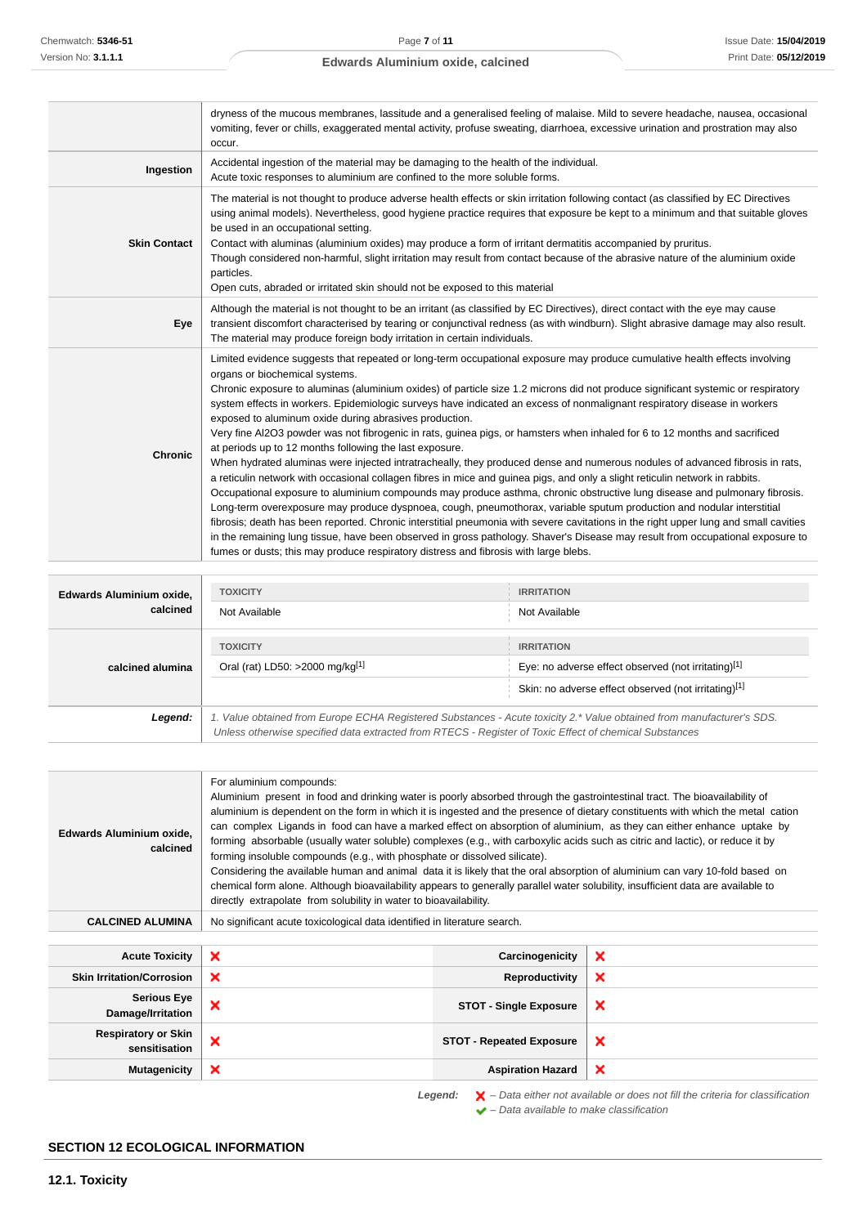|                     | dryness of the mucous membranes, lassitude and a generalised feeling of malaise. Mild to severe headache, nausea, occasional<br>vomiting, fever or chills, exaggerated mental activity, profuse sweating, diarrhoea, excessive urination and prostration may also<br>occur.                                                                                                                                                                                                                                                                                                                                                                                                                                                                                                                                                                                                                                                                                                                                                                                                                                                                                                                                                                                                                                                                                                                                                                                                                                                                                             |
|---------------------|-------------------------------------------------------------------------------------------------------------------------------------------------------------------------------------------------------------------------------------------------------------------------------------------------------------------------------------------------------------------------------------------------------------------------------------------------------------------------------------------------------------------------------------------------------------------------------------------------------------------------------------------------------------------------------------------------------------------------------------------------------------------------------------------------------------------------------------------------------------------------------------------------------------------------------------------------------------------------------------------------------------------------------------------------------------------------------------------------------------------------------------------------------------------------------------------------------------------------------------------------------------------------------------------------------------------------------------------------------------------------------------------------------------------------------------------------------------------------------------------------------------------------------------------------------------------------|
| Ingestion           | Accidental ingestion of the material may be damaging to the health of the individual.<br>Acute toxic responses to aluminium are confined to the more soluble forms.                                                                                                                                                                                                                                                                                                                                                                                                                                                                                                                                                                                                                                                                                                                                                                                                                                                                                                                                                                                                                                                                                                                                                                                                                                                                                                                                                                                                     |
| <b>Skin Contact</b> | The material is not thought to produce adverse health effects or skin irritation following contact (as classified by EC Directives<br>using animal models). Nevertheless, good hygiene practice requires that exposure be kept to a minimum and that suitable gloves<br>be used in an occupational setting.<br>Contact with aluminas (aluminium oxides) may produce a form of irritant dermatitis accompanied by pruritus.<br>Though considered non-harmful, slight irritation may result from contact because of the abrasive nature of the aluminium oxide<br>particles.<br>Open cuts, abraded or irritated skin should not be exposed to this material                                                                                                                                                                                                                                                                                                                                                                                                                                                                                                                                                                                                                                                                                                                                                                                                                                                                                                               |
| Eye                 | Although the material is not thought to be an irritant (as classified by EC Directives), direct contact with the eye may cause<br>transient discomfort characterised by tearing or conjunctival redness (as with windburn). Slight abrasive damage may also result.<br>The material may produce foreign body irritation in certain individuals.                                                                                                                                                                                                                                                                                                                                                                                                                                                                                                                                                                                                                                                                                                                                                                                                                                                                                                                                                                                                                                                                                                                                                                                                                         |
| <b>Chronic</b>      | Limited evidence suggests that repeated or long-term occupational exposure may produce cumulative health effects involving<br>organs or biochemical systems.<br>Chronic exposure to aluminas (aluminium oxides) of particle size 1.2 microns did not produce significant systemic or respiratory<br>system effects in workers. Epidemiologic surveys have indicated an excess of nonmalignant respiratory disease in workers<br>exposed to aluminum oxide during abrasives production.<br>Very fine AI2O3 powder was not fibrogenic in rats, guinea pigs, or hamsters when inhaled for 6 to 12 months and sacrificed<br>at periods up to 12 months following the last exposure.<br>When hydrated aluminas were injected intratracheally, they produced dense and numerous nodules of advanced fibrosis in rats,<br>a reticulin network with occasional collagen fibres in mice and guinea pigs, and only a slight reticulin network in rabbits.<br>Occupational exposure to aluminium compounds may produce asthma, chronic obstructive lung disease and pulmonary fibrosis.<br>Long-term overexposure may produce dyspnoea, cough, pneumothorax, variable sputum production and nodular interstitial<br>fibrosis; death has been reported. Chronic interstitial pneumonia with severe cavitations in the right upper lung and small cavities<br>in the remaining lung tissue, have been observed in gross pathology. Shaver's Disease may result from occupational exposure to<br>fumes or dusts; this may produce respiratory distress and fibrosis with large blebs. |

| Edwards Aluminium oxide, | <b>TOXICITY</b>                                                                                                                                                                                                                 | <b>IRRITATION</b>                                   |  |
|--------------------------|---------------------------------------------------------------------------------------------------------------------------------------------------------------------------------------------------------------------------------|-----------------------------------------------------|--|
| calcined                 | Not Available                                                                                                                                                                                                                   | Not Available                                       |  |
|                          | <b>TOXICITY</b>                                                                                                                                                                                                                 | <b>IRRITATION</b>                                   |  |
| calcined alumina         | Oral (rat) LD50: >2000 mg/kg <sup>[1]</sup>                                                                                                                                                                                     | Eye: no adverse effect observed (not irritating)[1] |  |
|                          | Skin: no adverse effect observed (not irritating)[1]                                                                                                                                                                            |                                                     |  |
| Legend:                  | 1. Value obtained from Europe ECHA Registered Substances - Acute toxicity 2.* Value obtained from manufacturer's SDS.<br>Unless otherwise specified data extracted from RTECS - Register of Toxic Effect of chemical Substances |                                                     |  |

| Edwards Aluminium oxide,<br>calcined        | For aluminium compounds:<br>Aluminium present in food and drinking water is poorly absorbed through the gastrointestinal tract. The bioavailability of<br>aluminium is dependent on the form in which it is ingested and the presence of dietary constituents with which the metal cation<br>can complex Ligands in food can have a marked effect on absorption of aluminium, as they can either enhance uptake by<br>forming absorbable (usually water soluble) complexes (e.g., with carboxylic acids such as citric and lactic), or reduce it by<br>forming insoluble compounds (e.g., with phosphate or dissolved silicate).<br>Considering the available human and animal data it is likely that the oral absorption of aluminium can vary 10-fold based on<br>chemical form alone. Although bioavailability appears to generally parallel water solubility, insufficient data are available to<br>directly extrapolate from solubility in water to bioavailability. |                                 |   |
|---------------------------------------------|---------------------------------------------------------------------------------------------------------------------------------------------------------------------------------------------------------------------------------------------------------------------------------------------------------------------------------------------------------------------------------------------------------------------------------------------------------------------------------------------------------------------------------------------------------------------------------------------------------------------------------------------------------------------------------------------------------------------------------------------------------------------------------------------------------------------------------------------------------------------------------------------------------------------------------------------------------------------------|---------------------------------|---|
| <b>CALCINED ALUMINA</b>                     | No significant acute toxicological data identified in literature search.                                                                                                                                                                                                                                                                                                                                                                                                                                                                                                                                                                                                                                                                                                                                                                                                                                                                                                  |                                 |   |
| <b>Acute Toxicity</b>                       | ×                                                                                                                                                                                                                                                                                                                                                                                                                                                                                                                                                                                                                                                                                                                                                                                                                                                                                                                                                                         | Carcinogenicity                 | × |
| <b>Skin Irritation/Corrosion</b>            | ×                                                                                                                                                                                                                                                                                                                                                                                                                                                                                                                                                                                                                                                                                                                                                                                                                                                                                                                                                                         | Reproductivity                  | × |
| <b>Serious Eye</b><br>Damage/Irritation     | ×                                                                                                                                                                                                                                                                                                                                                                                                                                                                                                                                                                                                                                                                                                                                                                                                                                                                                                                                                                         | <b>STOT - Single Exposure</b>   | × |
| <b>Respiratory or Skin</b><br>sensitisation | ×                                                                                                                                                                                                                                                                                                                                                                                                                                                                                                                                                                                                                                                                                                                                                                                                                                                                                                                                                                         | <b>STOT - Repeated Exposure</b> | × |
| <b>Mutagenicity</b>                         | ×                                                                                                                                                                                                                                                                                                                                                                                                                                                                                                                                                                                                                                                                                                                                                                                                                                                                                                                                                                         | <b>Aspiration Hazard</b>        | × |

**Legend:**  $\mathbf{X}$  – Data either not available or does not fill the criteria for classification – Data available to make classification

# **SECTION 12 ECOLOGICAL INFORMATION**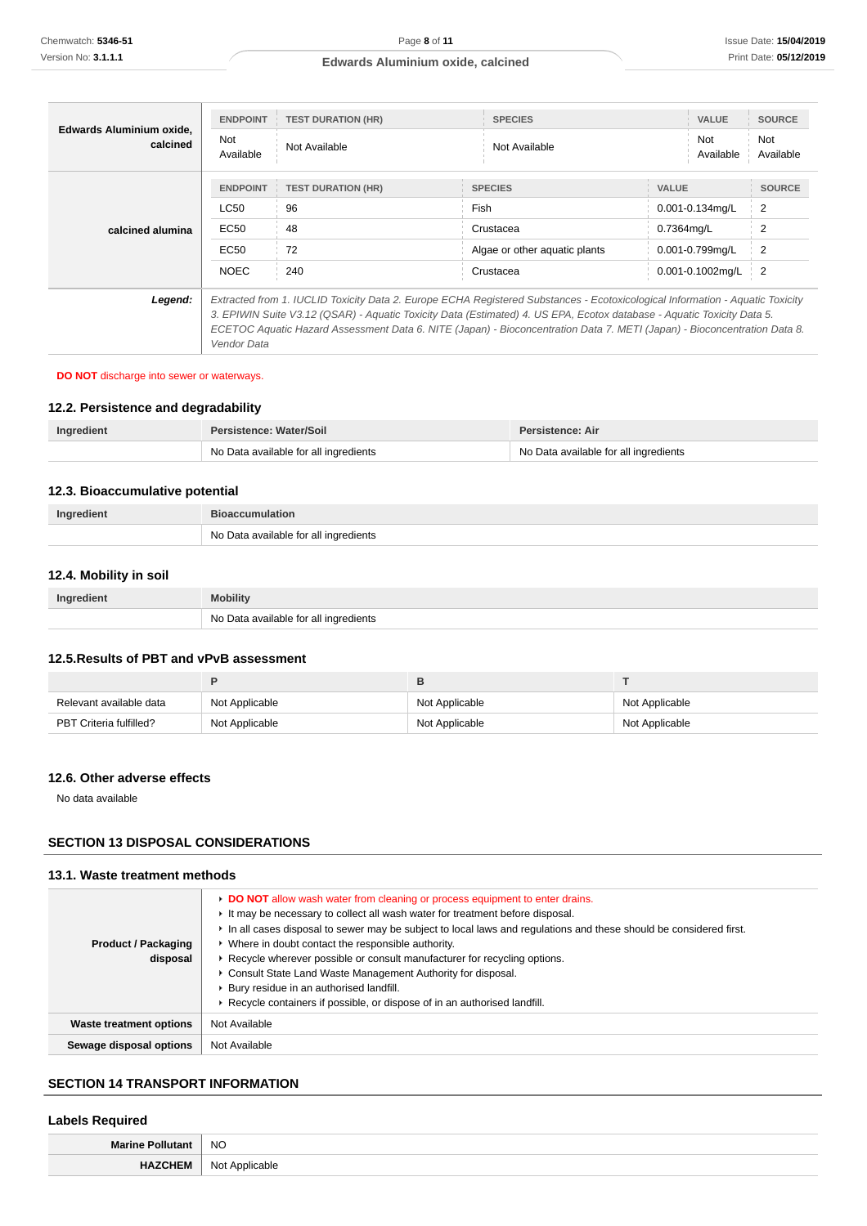| Edwards Aluminium oxide.<br>calcined | <b>ENDPOINT</b><br>Not<br>Available                                                                                                                                                                                                                                                                                                                                                                | <b>TEST DURATION (HR)</b><br>Not Available         | <b>SPECIES</b><br>Not Available                                                   | <b>VALUE</b><br>Not<br>Available                                                     | <b>SOURCE</b><br>Not<br>Available                                   |
|--------------------------------------|----------------------------------------------------------------------------------------------------------------------------------------------------------------------------------------------------------------------------------------------------------------------------------------------------------------------------------------------------------------------------------------------------|----------------------------------------------------|-----------------------------------------------------------------------------------|--------------------------------------------------------------------------------------|---------------------------------------------------------------------|
| calcined alumina                     | <b>ENDPOINT</b><br>LC50<br>EC50<br>EC50<br><b>NOEC</b>                                                                                                                                                                                                                                                                                                                                             | <b>TEST DURATION (HR)</b><br>96<br>48<br>72<br>240 | <b>SPECIES</b><br>Fish<br>Crustacea<br>Algae or other aquatic plants<br>Crustacea | <b>VALUE</b><br>0.001-0.134mg/L<br>0.7364mg/L<br>0.001-0.799mg/L<br>0.001-0.1002mg/L | <b>SOURCE</b><br>$\overline{2}$<br>$\overline{2}$<br>$\overline{2}$ |
| Legend:                              | Extracted from 1. IUCLID Toxicity Data 2. Europe ECHA Registered Substances - Ecotoxicological Information - Aguatic Toxicity<br>3. EPIWIN Suite V3.12 (QSAR) - Aquatic Toxicity Data (Estimated) 4. US EPA, Ecotox database - Aquatic Toxicity Data 5.<br>ECETOC Aquatic Hazard Assessment Data 6. NITE (Japan) - Bioconcentration Data 7. METI (Japan) - Bioconcentration Data 8.<br>Vendor Data |                                                    |                                                                                   |                                                                                      |                                                                     |

### **DO NOT** discharge into sewer or waterways.

# **12.2. Persistence and degradability**

| Ingredient | Persistence: Water/Soil               | Persistence: Air                      |
|------------|---------------------------------------|---------------------------------------|
|            | No Data available for all ingredients | No Data available for all ingredients |

# **12.3. Bioaccumulative potential**

| Ingredient | <b>Bioaccumulation</b>                |  |
|------------|---------------------------------------|--|
|            | No Data available for all ingredients |  |

# **12.4. Mobility in soil**

| Ingredient | <b>Mobility</b>                       |  |
|------------|---------------------------------------|--|
|            | No Data available for all ingredients |  |

# **12.5.Results of PBT and vPvB assessment**

| Relevant available data | Not Applicable | Not Applicable | Not Applicable |
|-------------------------|----------------|----------------|----------------|
| PBT Criteria fulfilled? | Not Applicable | Not Applicable | Not Applicable |

# **12.6. Other adverse effects**

No data available

# **SECTION 13 DISPOSAL CONSIDERATIONS**

### **13.1. Waste treatment methods**

| <b>Product / Packaging</b><br>disposal | DO NOT allow wash water from cleaning or process equipment to enter drains.<br>It may be necessary to collect all wash water for treatment before disposal.<br>In all cases disposal to sewer may be subject to local laws and regulations and these should be considered first.<br>• Where in doubt contact the responsible authority.<br>► Recycle wherever possible or consult manufacturer for recycling options.<br>Consult State Land Waste Management Authority for disposal.<br>▶ Bury residue in an authorised landfill.<br>▶ Recycle containers if possible, or dispose of in an authorised landfill. |
|----------------------------------------|-----------------------------------------------------------------------------------------------------------------------------------------------------------------------------------------------------------------------------------------------------------------------------------------------------------------------------------------------------------------------------------------------------------------------------------------------------------------------------------------------------------------------------------------------------------------------------------------------------------------|
| Waste treatment options                | Not Available                                                                                                                                                                                                                                                                                                                                                                                                                                                                                                                                                                                                   |
| Sewage disposal options                | Not Available                                                                                                                                                                                                                                                                                                                                                                                                                                                                                                                                                                                                   |

### **SECTION 14 TRANSPORT INFORMATION**

# **Labels Required**

| <b>Marine</b> | <b>NO</b>         |
|---------------|-------------------|
| א :           | NI∩1<br>able<br>w |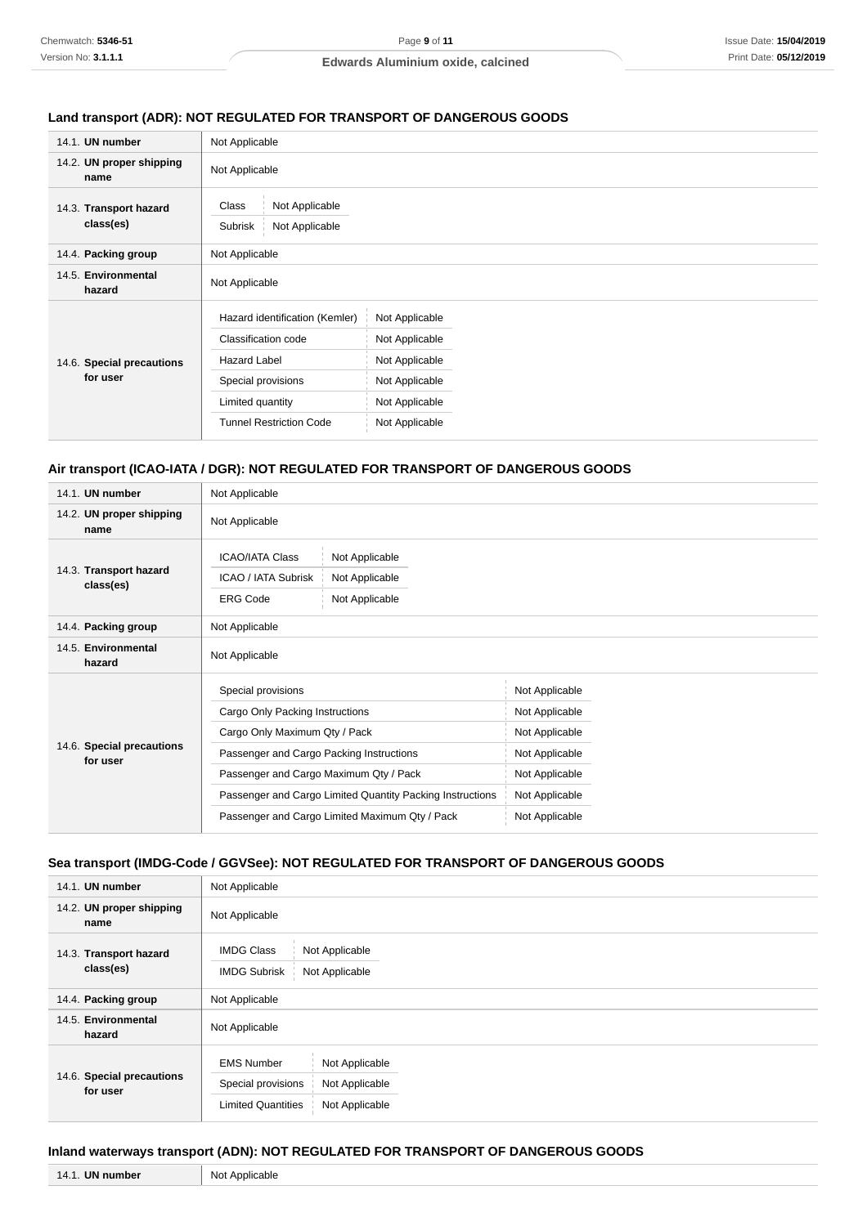# **Land transport (ADR): NOT REGULATED FOR TRANSPORT OF DANGEROUS GOODS**

| 14.1. UN number                       | Not Applicable                                                                                                                                           |                                                                                                          |  |  |
|---------------------------------------|----------------------------------------------------------------------------------------------------------------------------------------------------------|----------------------------------------------------------------------------------------------------------|--|--|
| 14.2. UN proper shipping<br>name      | Not Applicable                                                                                                                                           |                                                                                                          |  |  |
| 14.3. Transport hazard<br>class(es)   | Not Applicable<br>Class<br>Not Applicable<br>Subrisk                                                                                                     |                                                                                                          |  |  |
| 14.4. Packing group                   | Not Applicable                                                                                                                                           |                                                                                                          |  |  |
| 14.5. Environmental<br>hazard         | Not Applicable                                                                                                                                           |                                                                                                          |  |  |
| 14.6. Special precautions<br>for user | Hazard identification (Kemler)<br>Classification code<br><b>Hazard Label</b><br>Special provisions<br>Limited quantity<br><b>Tunnel Restriction Code</b> | Not Applicable<br>Not Applicable<br>Not Applicable<br>Not Applicable<br>Not Applicable<br>Not Applicable |  |  |

# **Air transport (ICAO-IATA / DGR): NOT REGULATED FOR TRANSPORT OF DANGEROUS GOODS**

| 14.1. UN number                       | Not Applicable                                                                                                                                                                                                                                                                              |                                                                                                                            |  |  |
|---------------------------------------|---------------------------------------------------------------------------------------------------------------------------------------------------------------------------------------------------------------------------------------------------------------------------------------------|----------------------------------------------------------------------------------------------------------------------------|--|--|
| 14.2. UN proper shipping<br>name      | Not Applicable                                                                                                                                                                                                                                                                              |                                                                                                                            |  |  |
| 14.3. Transport hazard<br>class(es)   | <b>ICAO/IATA Class</b><br>Not Applicable<br>ICAO / IATA Subrisk<br>Not Applicable<br><b>ERG Code</b><br>Not Applicable                                                                                                                                                                      |                                                                                                                            |  |  |
| 14.4. Packing group                   | Not Applicable                                                                                                                                                                                                                                                                              |                                                                                                                            |  |  |
| 14.5. Environmental<br>hazard         | Not Applicable                                                                                                                                                                                                                                                                              |                                                                                                                            |  |  |
| 14.6. Special precautions<br>for user | Special provisions<br>Cargo Only Packing Instructions<br>Cargo Only Maximum Qty / Pack<br>Passenger and Cargo Packing Instructions<br>Passenger and Cargo Maximum Qty / Pack<br>Passenger and Cargo Limited Quantity Packing Instructions<br>Passenger and Cargo Limited Maximum Qty / Pack | Not Applicable<br>Not Applicable<br>Not Applicable<br>Not Applicable<br>Not Applicable<br>Not Applicable<br>Not Applicable |  |  |

# **Sea transport (IMDG-Code / GGVSee): NOT REGULATED FOR TRANSPORT OF DANGEROUS GOODS**

| 14.1. UN number                       | Not Applicable                                                               |                                                    |  |  |
|---------------------------------------|------------------------------------------------------------------------------|----------------------------------------------------|--|--|
| 14.2. UN proper shipping<br>name      | Not Applicable                                                               |                                                    |  |  |
| 14.3. Transport hazard<br>class(es)   | Not Applicable<br><b>IMDG Class</b><br><b>IMDG Subrisk</b><br>Not Applicable |                                                    |  |  |
| 14.4. Packing group                   | Not Applicable                                                               |                                                    |  |  |
| 14.5. Environmental<br>hazard         | Not Applicable                                                               |                                                    |  |  |
| 14.6. Special precautions<br>for user | <b>EMS Number</b><br>Special provisions<br><b>Limited Quantities</b>         | Not Applicable<br>Not Applicable<br>Not Applicable |  |  |

### **Inland waterways transport (ADN): NOT REGULATED FOR TRANSPORT OF DANGEROUS GOODS**

| <b>UN number</b> | . Not      |
|------------------|------------|
| 14               | Applicable |
| т. н.            |            |
|                  |            |
|                  |            |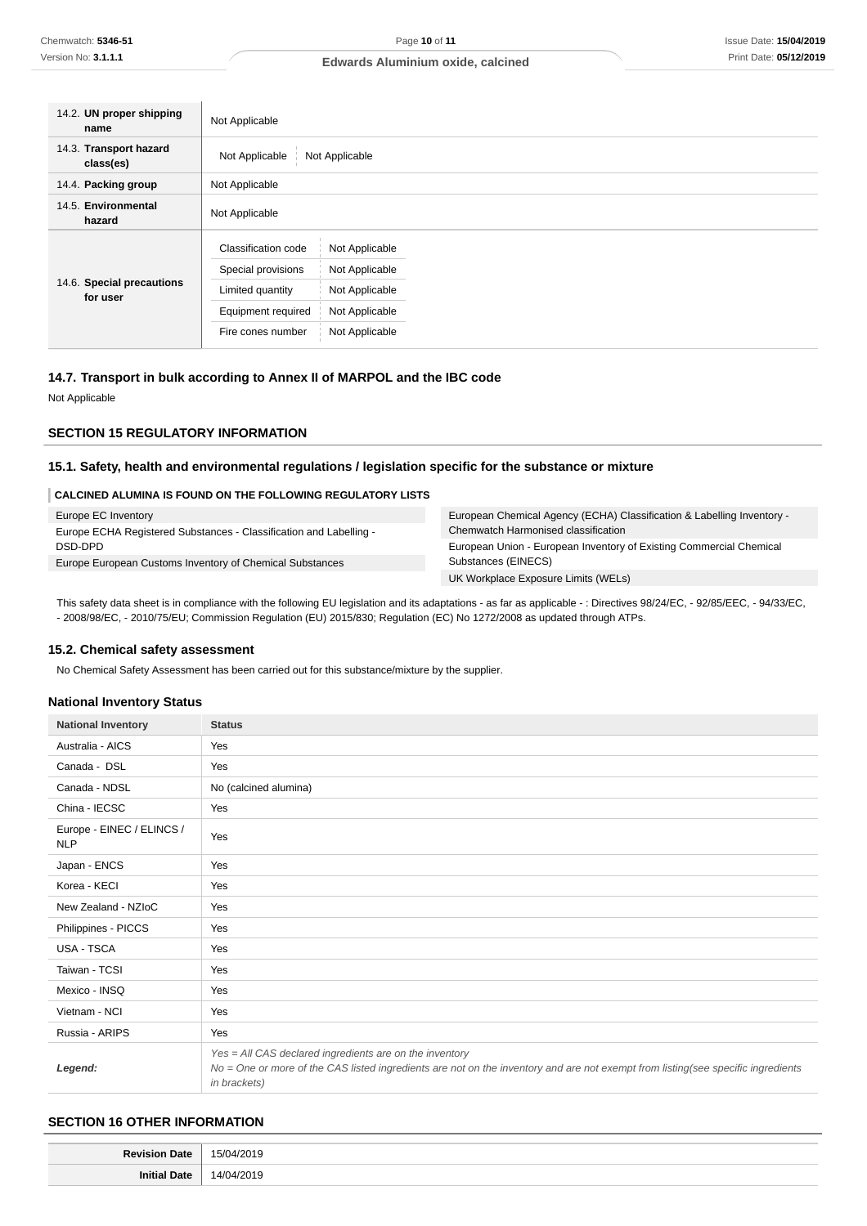| 14.2. UN proper shipping<br>name      | Not Applicable                                                                                                                                                                                     |  |  |  |
|---------------------------------------|----------------------------------------------------------------------------------------------------------------------------------------------------------------------------------------------------|--|--|--|
| 14.3. Transport hazard<br>class(es)   | Not Applicable<br>Not Applicable                                                                                                                                                                   |  |  |  |
| 14.4. Packing group                   | Not Applicable                                                                                                                                                                                     |  |  |  |
| 14.5. Environmental<br>hazard         | Not Applicable                                                                                                                                                                                     |  |  |  |
| 14.6. Special precautions<br>for user | Classification code<br>Not Applicable<br>Special provisions<br>Not Applicable<br>Not Applicable<br>Limited quantity<br>Equipment required<br>Not Applicable<br>Not Applicable<br>Fire cones number |  |  |  |

# **14.7. Transport in bulk according to Annex II of MARPOL and the IBC code**

Not Applicable

#### **SECTION 15 REGULATORY INFORMATION**

#### **15.1. Safety, health and environmental regulations / legislation specific for the substance or mixture**

#### **CALCINED ALUMINA IS FOUND ON THE FOLLOWING REGULATORY LISTS**

| Europe EC Inventory                                                | European Chemical Agency (ECHA) Classification & Labelling Inventory - |
|--------------------------------------------------------------------|------------------------------------------------------------------------|
| Europe ECHA Registered Substances - Classification and Labelling - | Chemwatch Harmonised classification                                    |
| DSD-DPD                                                            | European Union - European Inventory of Existing Commercial Chemical    |
| Europe European Customs Inventory of Chemical Substances           | Substances (EINECS)                                                    |
|                                                                    | UK Workplace Exposure Limits (WELs)                                    |

This safety data sheet is in compliance with the following EU legislation and its adaptations - as far as applicable - : Directives 98/24/EC, - 92/85/EEC, - 94/33/EC, - 2008/98/EC, - 2010/75/EU; Commission Regulation (EU) 2015/830; Regulation (EC) No 1272/2008 as updated through ATPs.

#### **15.2. Chemical safety assessment**

No Chemical Safety Assessment has been carried out for this substance/mixture by the supplier.

### **National Inventory Status**

| <b>National Inventory</b>               | <b>Status</b>                                                                                                                                                                                               |  |
|-----------------------------------------|-------------------------------------------------------------------------------------------------------------------------------------------------------------------------------------------------------------|--|
| Australia - AICS                        | Yes                                                                                                                                                                                                         |  |
| Canada - DSL                            | Yes                                                                                                                                                                                                         |  |
| Canada - NDSL                           | No (calcined alumina)                                                                                                                                                                                       |  |
| China - IECSC                           | Yes                                                                                                                                                                                                         |  |
| Europe - EINEC / ELINCS /<br><b>NLP</b> | Yes                                                                                                                                                                                                         |  |
| Japan - ENCS                            | Yes                                                                                                                                                                                                         |  |
| Korea - KECI                            | Yes                                                                                                                                                                                                         |  |
| New Zealand - NZIoC                     | Yes                                                                                                                                                                                                         |  |
| Philippines - PICCS                     | Yes                                                                                                                                                                                                         |  |
| USA - TSCA                              | Yes                                                                                                                                                                                                         |  |
| Taiwan - TCSI                           | Yes                                                                                                                                                                                                         |  |
| Mexico - INSQ                           | Yes                                                                                                                                                                                                         |  |
| Vietnam - NCI                           | Yes                                                                                                                                                                                                         |  |
| Russia - ARIPS                          | Yes                                                                                                                                                                                                         |  |
| Legend:                                 | Yes = All CAS declared ingredients are on the inventory<br>No = One or more of the CAS listed ingredients are not on the inventory and are not exempt from listing(see specific ingredients<br>in brackets) |  |

# **SECTION 16 OTHER INFORMATION**

| <b>Povicio</b> | $\mathbf{u}$  |
|----------------|---------------|
| That           | $\cdot$ h,    |
| .              | $\sim$ $\sim$ |
|                | ''<br>.       |